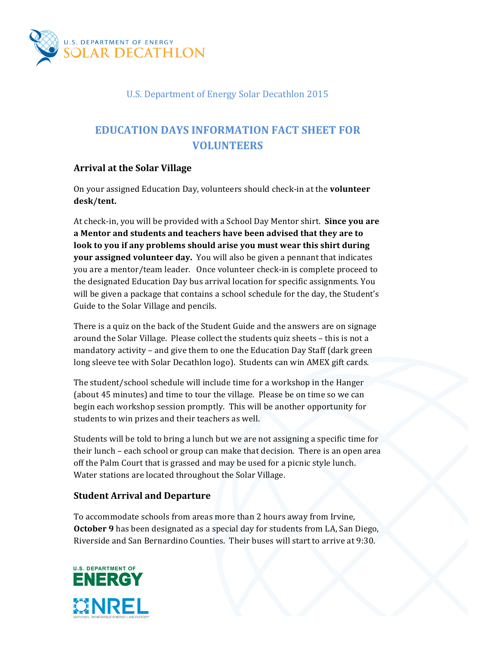

# U.S. Department of Energy Solar Decathlon 2015

# **EDUCATION DAYS INFORMATION FACT SHEET FOR VOLUNTEERS**

## **Arrival at the Solar Village**

On your assigned Education Day, volunteers should check-in at the **volunteer desk/tent.**

At check-in, you will be provided with a School Day Mentor shirt. **Since you are** a Mentor and students and teachers have been advised that they are to look to you if any problems should arise you must wear this shirt during **your assigned volunteer day.** You will also be given a pennant that indicates you are a mentor/team leader. Once volunteer check-in is complete proceed to the designated Education Day bus arrival location for specific assignments. You will be given a package that contains a school schedule for the day, the Student's Guide to the Solar Village and pencils.

There is a quiz on the back of the Student Guide and the answers are on signage around the Solar Village. Please collect the students quiz sheets - this is not a mandatory activity – and give them to one the Education Day Staff (dark green long sleeve tee with Solar Decathlon logo). Students can win AMEX gift cards.

The student/school schedule will include time for a workshop in the Hanger (about 45 minutes) and time to tour the village. Please be on time so we can begin each workshop session promptly. This will be another opportunity for students to win prizes and their teachers as well.

Students will be told to bring a lunch but we are not assigning a specific time for their lunch – each school or group can make that decision. There is an open area off the Palm Court that is grassed and may be used for a picnic style lunch. Water stations are located throughout the Solar Village.

### **Student Arrival and Departure**

To accommodate schools from areas more than 2 hours away from Irvine, **October 9** has been designated as a special day for students from LA, San Diego, Riverside and San Bernardino Counties. Their buses will start to arrive at 9:30.